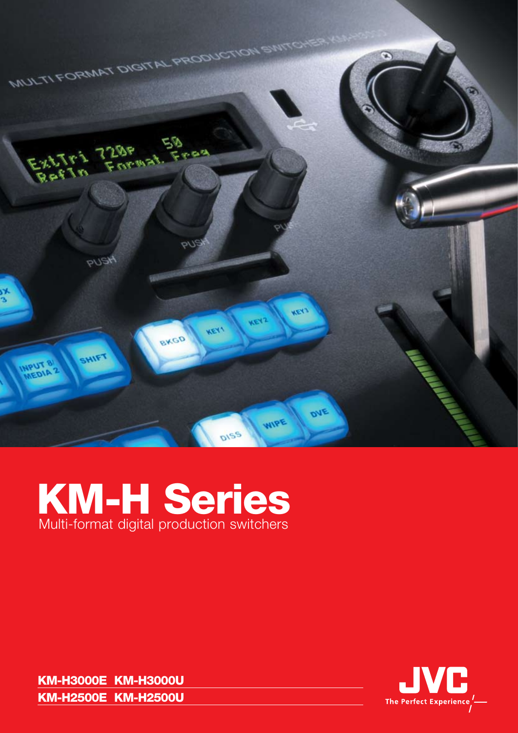

## KM-H Series Multi-format digital production switchers

KM-H3000E KM-H3000U KM-H2500E KM-H2500U

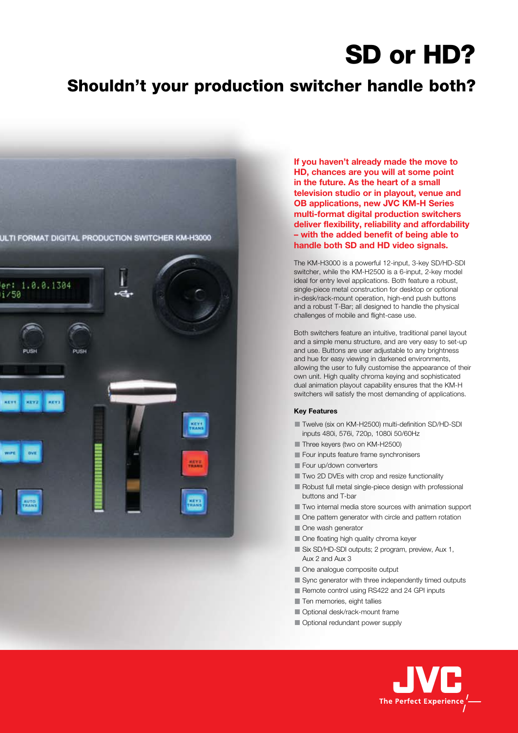## SD or HD?

### Shouldn't your production switcher handle both?



**If you haven't already made the move to HD, chances are you will at some point in the future. As the heart of a small television studio or in playout, venue and OB applications, new JVC KM-H Series multi-format digital production switchers deliver flexibility, reliability and affordability – with the added benefit of being able to handle both SD and HD video signals.** 

The KM-H3000 is a powerful 12-input, 3-key SD/HD-SDI switcher, while the KM-H2500 is a 6-input, 2-key model ideal for entry level applications. Both feature a robust, single-piece metal construction for desktop or optional in-desk/rack-mount operation, high-end push buttons and a robust T-Bar; all designed to handle the physical challenges of mobile and flight-case use.

Both switchers feature an intuitive, traditional panel layout and a simple menu structure, and are very easy to set-up and use. Buttons are user adjustable to any brightness and hue for easy viewing in darkened environments, allowing the user to fully customise the appearance of their own unit. High quality chroma keying and sophisticated dual animation playout capability ensures that the KM-H switchers will satisfy the most demanding of applications.

#### **Key Features**

- Twelve (six on KM-H2500) multi-definition SD/HD-SDI inputs 480i, 576i, 720p, 1080i 50/60Hz
- Three keyers (two on KM-H2500)
- Four inputs feature frame synchronisers
- Four up/down converters
- **T** Two 2D DVEs with crop and resize functionality
- Robust full metal single-piece design with professional buttons and T-bar
- **Two internal media store sources with animation support**
- One pattern generator with circle and pattern rotation
- One wash generator
- One floating high quality chroma keyer
- Six SD/HD-SDI outputs; 2 program, preview, Aux 1, Aux 2 and Aux 3
- One analogue composite output
- Sync generator with three independently timed outputs
- Remote control using RS422 and 24 GPI inputs
- Ten memories, eight tallies
- **Optional desk/rack-mount frame**
- Optional redundant power supply

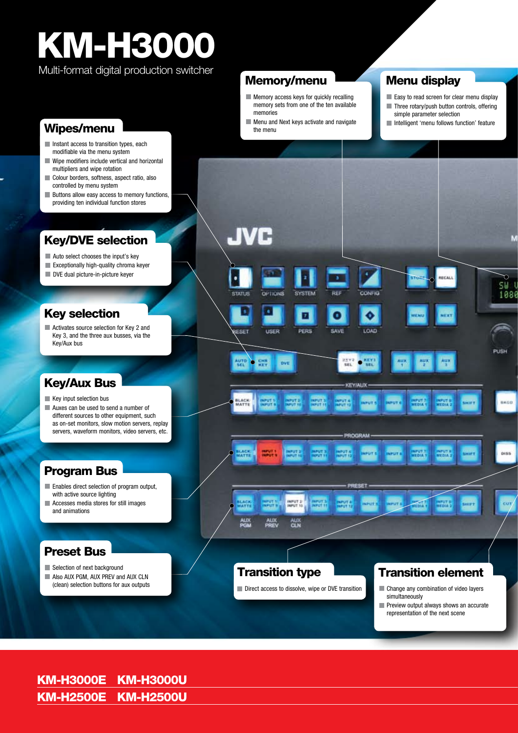# KM-H3000

Multi-format digital production switcher

- Instant access to transition types, each modifiable via the menu system
- Wipe modifiers include vertical and horizontal multipliers and wipe rotation
- Colour borders, softness, aspect ratio, also controlled by menu system
- **Buttons allow easy access to memory functions,** providing ten individual function stores

#### Key/DVE selection

- Auto select chooses the input's key
- **Exceptionally high-quality chroma keyer**
- DVE dual picture-in-picture keyer

#### Key selection

Activates source selection for Key 2 and Key 3, and the three aux busses, via the Key/Aux bus

#### Key/Aux Bus

- Key input selection bus
- **Auxes can be used to send a number of** different sources to other equipment, such as on-set monitors, slow motion servers, replay servers, waveform monitors, video servers, etc.

#### Program Bus

- **Enables direct selection of program output,** with active source lighting
- **Accesses media stores for still images** and animations

#### Preset Bus

- Selection of next background
- Also AUX PGM, AUX PREV and AUX CLN (clean) selection buttons for aux outputs



- **Memory access keys for quickly recalling** memory sets from one of the ten available memories
- **Wipes/menu Wipes/menu the menu the menu the menu the menu the menu the menu the menu the menu the menu the menu the menu the menu the menu the menu the menu the menu the menu the menu the menu the menu the menu the menu**

#### Menu display

- Easy to read screen for clear menu display
- Three rotary/push button controls, offering simple parameter selection
- Intelligent 'menu follows function' feature



#### KM-H3000E KM-H3000U KM-H2500E KM-H2500U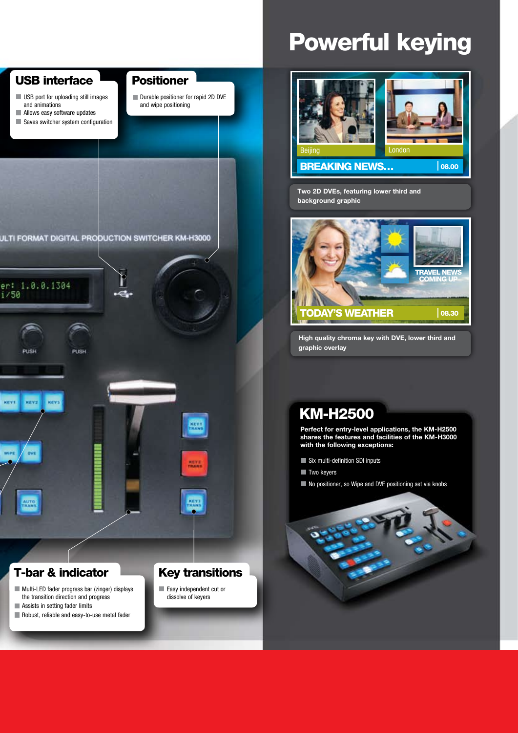

## Powerful keying



**Two 2D DVEs, featuring lower third and background graphic**



**High quality chroma key with DVE, lower third and graphic overlay**

#### KM-H2500

**Perfect for entry-level applications, the KM-H2500 shares the features and facilities of the KM-H3000 with the following exceptions:**

- Six multi-definition SDI inputs
- **Two keyers**
- No positioner, so Wipe and DVE positioning set via knobs

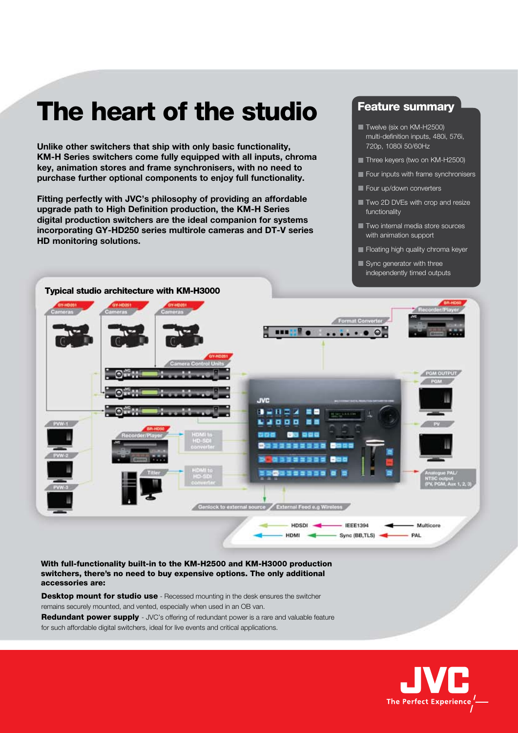## The heart of the studio

**Unlike other switchers that ship with only basic functionality, KM-H Series switchers come fully equipped with all inputs, chroma key, animation stores and frame synchronisers, with no need to purchase further optional components to enjoy full functionality.** 

**Fitting perfectly with JVC's philosophy of providing an affordable upgrade path to High Definition production, the KM-H Series digital production switchers are the ideal companion for systems incorporating GY-HD250 series multirole cameras and DT-V series HD monitoring solutions.**

#### **Feature summary**

- Twelve (six on KM-H2500) multi-definition inputs, 480i, 576i, 720p, 1080i 50/60Hz
- Three keyers (two on KM-H2500)
- Four inputs with frame synchronisers
- Four up/down converters
- **Two 2D DVEs with crop and resize** functionality
- **T** Two internal media store sources with animation support
- Floating high quality chroma keyer
- Sync generator with three independently timed outputs



With full-functionality built-in to the KM-H2500 and KM-H3000 production switchers, there's no need to buy expensive options. The only additional accessories are:

**Desktop mount for studio use** - Recessed mounting in the desk ensures the switcher remains securely mounted, and vented, especially when used in an OB van. Redundant power supply - JVC's offering of redundant power is a rare and valuable feature for such affordable digital switchers, ideal for live events and critical applications.